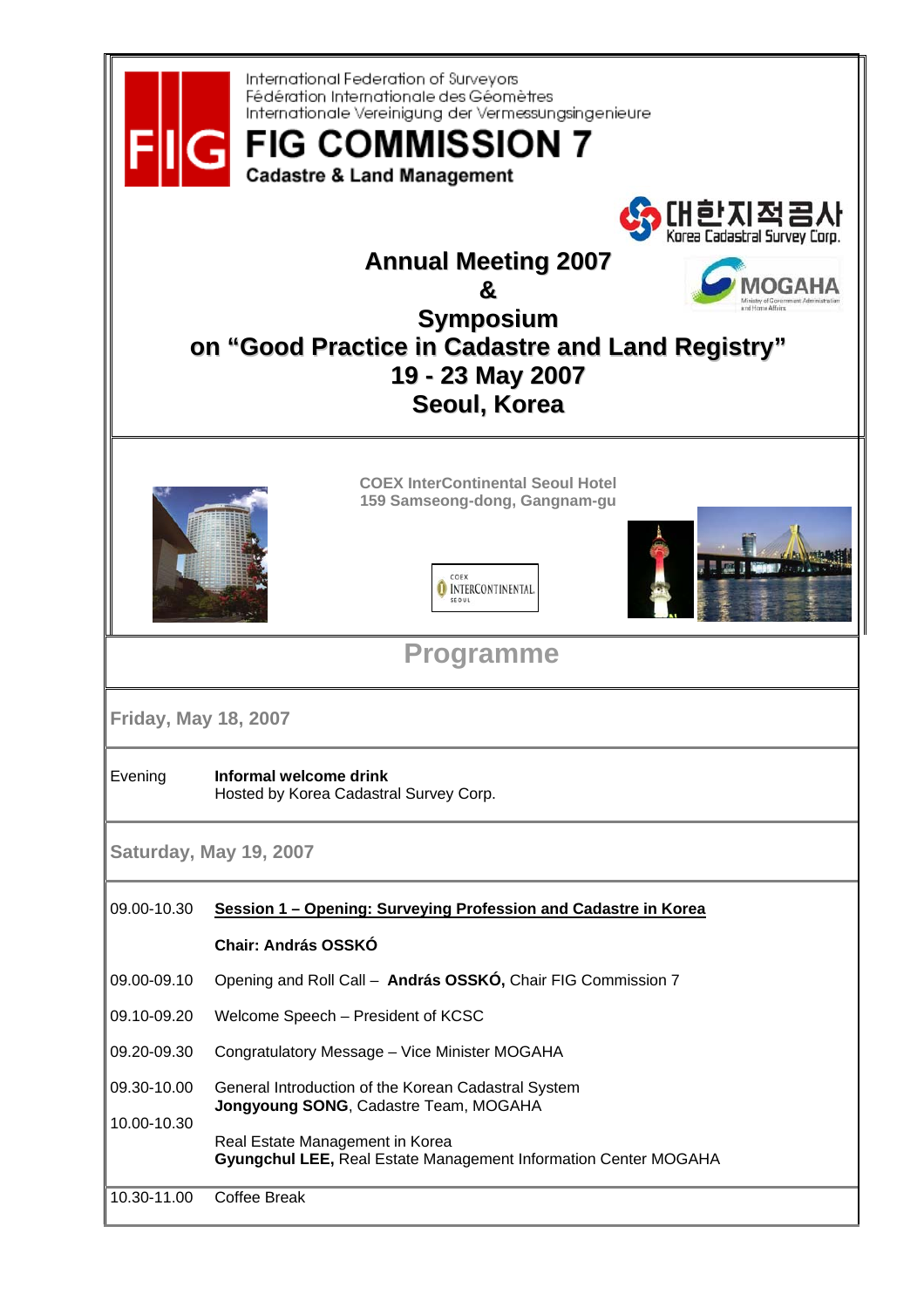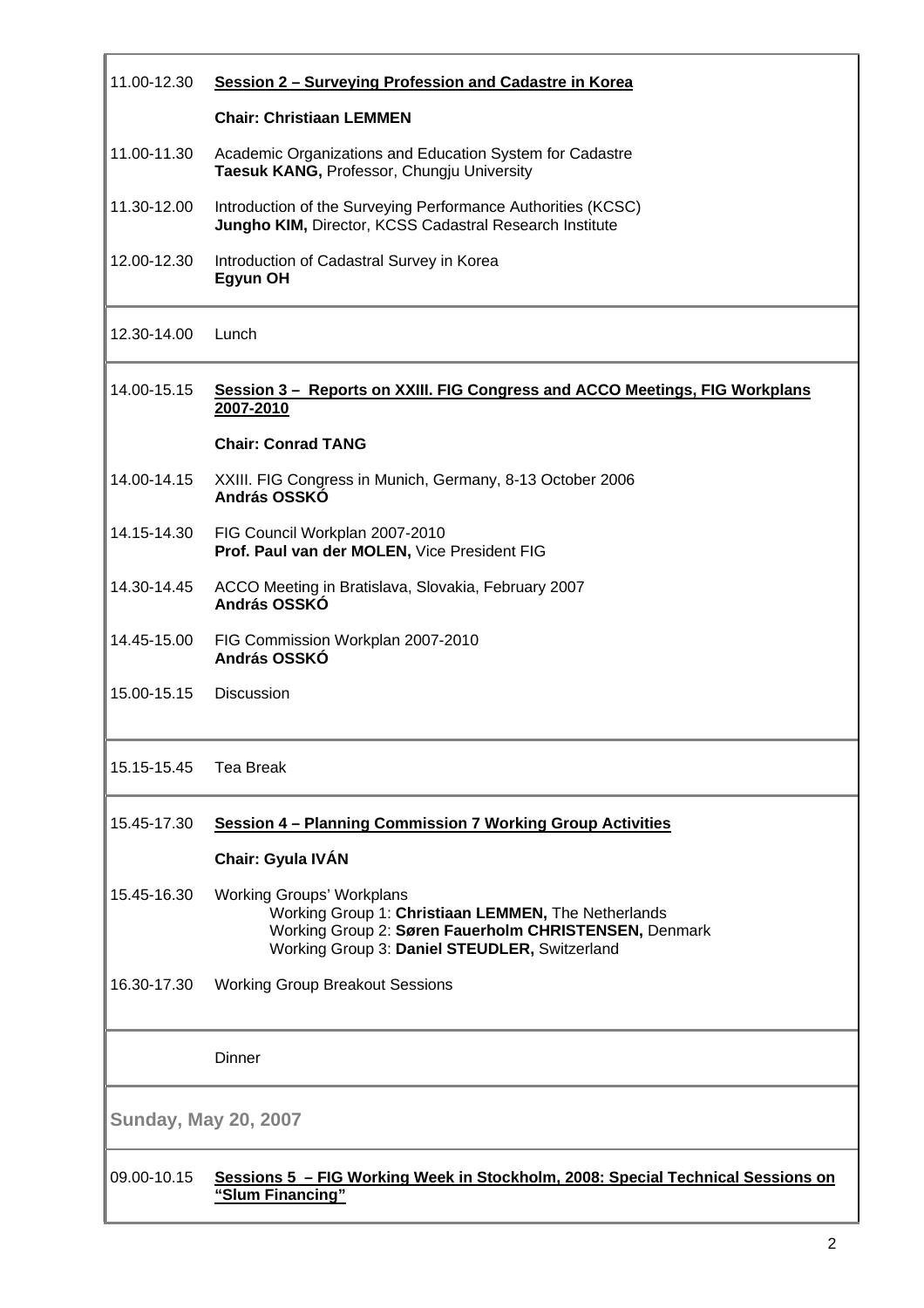| 11.00-12.30                 | Session 2 - Surveying Profession and Cadastre in Korea                                                                                                                                            |
|-----------------------------|---------------------------------------------------------------------------------------------------------------------------------------------------------------------------------------------------|
|                             | <b>Chair: Christiaan LEMMEN</b>                                                                                                                                                                   |
| 11.00-11.30                 | Academic Organizations and Education System for Cadastre<br>Taesuk KANG, Professor, Chungju University                                                                                            |
| 11.30-12.00                 | Introduction of the Surveying Performance Authorities (KCSC)<br>Jungho KIM, Director, KCSS Cadastral Research Institute                                                                           |
| 12.00-12.30                 | Introduction of Cadastral Survey in Korea<br>Egyun OH                                                                                                                                             |
| 12.30-14.00                 | Lunch                                                                                                                                                                                             |
| 14.00-15.15                 | <u>Session 3 - Reports on XXIII. FIG Congress and ACCO Meetings, FIG Workplans</u><br>2007-2010                                                                                                   |
|                             | <b>Chair: Conrad TANG</b>                                                                                                                                                                         |
| 14.00-14.15                 | XXIII. FIG Congress in Munich, Germany, 8-13 October 2006<br>András OSSKÓ                                                                                                                         |
| 14.15-14.30                 | FIG Council Workplan 2007-2010<br>Prof. Paul van der MOLEN, Vice President FIG                                                                                                                    |
| 14.30-14.45                 | ACCO Meeting in Bratislava, Slovakia, February 2007<br>András OSSKÓ                                                                                                                               |
| 14.45-15.00                 | FIG Commission Workplan 2007-2010<br>András OSSKÓ                                                                                                                                                 |
| 15.00-15.15                 | Discussion                                                                                                                                                                                        |
| 15.15-15.45                 | <b>Tea Break</b>                                                                                                                                                                                  |
| 15.45-17.30                 | Session 4 - Planning Commission 7 Working Group Activities                                                                                                                                        |
|                             | Chair: Gyula IVÁN                                                                                                                                                                                 |
| 15.45-16.30                 | <b>Working Groups' Workplans</b><br>Working Group 1: Christiaan LEMMEN, The Netherlands<br>Working Group 2: Søren Fauerholm CHRISTENSEN, Denmark<br>Working Group 3: Daniel STEUDLER, Switzerland |
| 16.30-17.30                 | <b>Working Group Breakout Sessions</b>                                                                                                                                                            |
|                             | Dinner                                                                                                                                                                                            |
| <b>Sunday, May 20, 2007</b> |                                                                                                                                                                                                   |
| 09.00-10.15                 | Sessions 5 - FIG Working Week in Stockholm, 2008: Special Technical Sessions on<br>"Slum Financing"                                                                                               |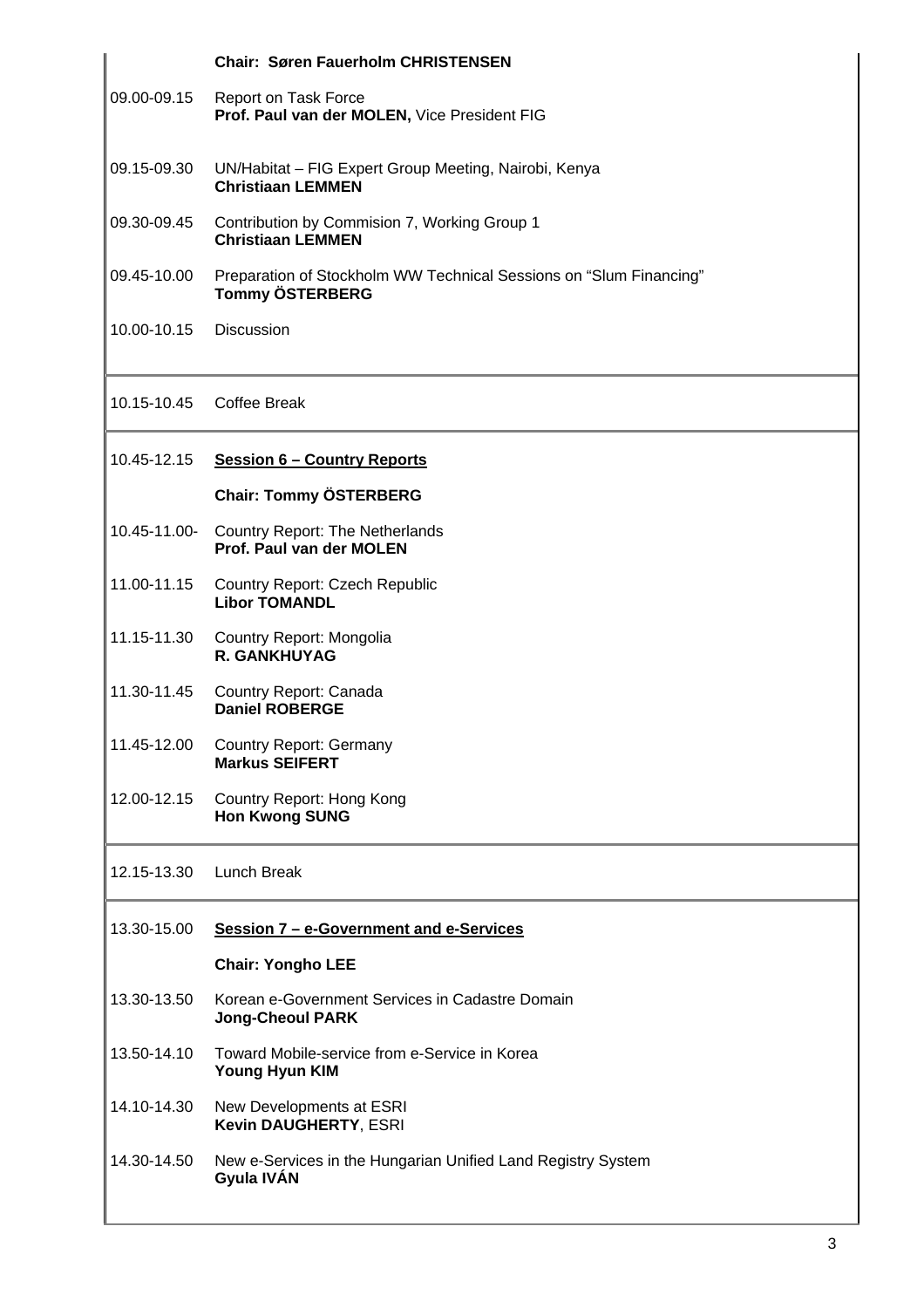|             | <b>Chair: Søren Fauerholm CHRISTENSEN</b>                                                    |
|-------------|----------------------------------------------------------------------------------------------|
| 09.00-09.15 | Report on Task Force<br>Prof. Paul van der MOLEN, Vice President FIG                         |
| 09.15-09.30 | UN/Habitat - FIG Expert Group Meeting, Nairobi, Kenya<br><b>Christiaan LEMMEN</b>            |
| 09.30-09.45 | Contribution by Commision 7, Working Group 1<br><b>Christiaan LEMMEN</b>                     |
| 09.45-10.00 | Preparation of Stockholm WW Technical Sessions on "Slum Financing"<br><b>Tommy ÖSTERBERG</b> |
| 10.00-10.15 | <b>Discussion</b>                                                                            |
| 10.15-10.45 | <b>Coffee Break</b>                                                                          |
| 10.45-12.15 | <b>Session 6 - Country Reports</b>                                                           |
|             | <b>Chair: Tommy ÖSTERBERG</b>                                                                |
|             | 10.45-11.00- Country Report: The Netherlands<br>Prof. Paul van der MOLEN                     |
| 11.00-11.15 | <b>Country Report: Czech Republic</b><br><b>Libor TOMANDL</b>                                |
| 11.15-11.30 | Country Report: Mongolia<br>R. GANKHUYAG                                                     |
| 11.30-11.45 | Country Report: Canada<br><b>Daniel ROBERGE</b>                                              |
| 11.45-12.00 | <b>Country Report: Germany</b><br><b>Markus SEIFERT</b>                                      |
| 12.00-12.15 | <b>Country Report: Hong Kong</b><br><b>Hon Kwong SUNG</b>                                    |
| 12.15-13.30 | Lunch Break                                                                                  |
| 13.30-15.00 | Session 7 - e-Government and e-Services                                                      |
|             | <b>Chair: Yongho LEE</b>                                                                     |
| 13.30-13.50 | Korean e-Government Services in Cadastre Domain<br><b>Jong-Cheoul PARK</b>                   |
| 13.50-14.10 | Toward Mobile-service from e-Service in Korea<br><b>Young Hyun KIM</b>                       |
| 14.10-14.30 | New Developments at ESRI<br>Kevin DAUGHERTY, ESRI                                            |
| 14.30-14.50 | New e-Services in the Hungarian Unified Land Registry System<br>Gyula IVÁN                   |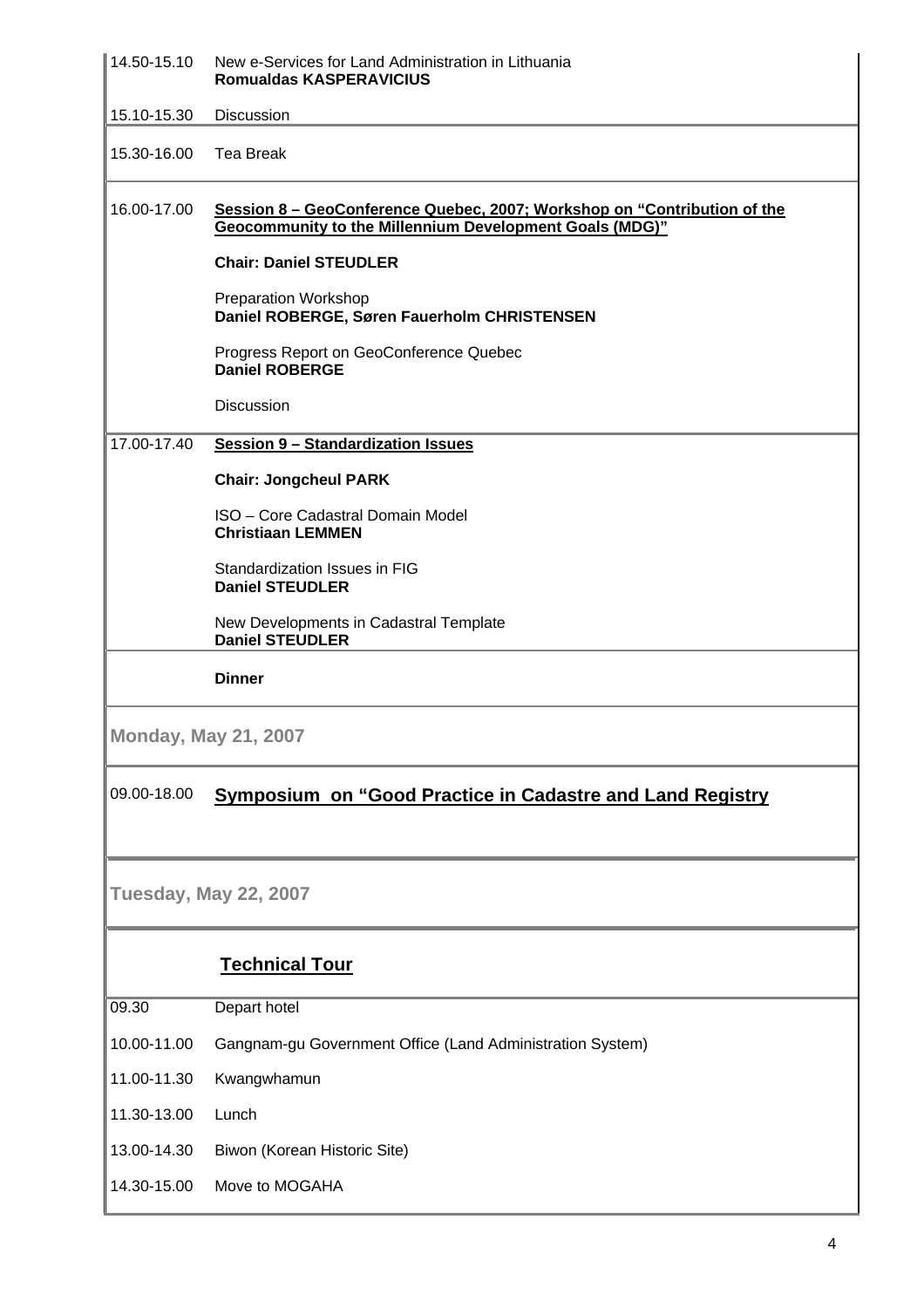| 14.50-15.10                  | New e-Services for Land Administration in Lithuania<br><b>Romualdas KASPERAVICIUS</b>                                                      |  |
|------------------------------|--------------------------------------------------------------------------------------------------------------------------------------------|--|
| 15.10-15.30                  | Discussion                                                                                                                                 |  |
| 15.30-16.00                  | <b>Tea Break</b>                                                                                                                           |  |
| 16.00-17.00                  | Session 8 - GeoConference Quebec, 2007; Workshop on "Contribution of the<br><b>Geocommunity to the Millennium Development Goals (MDG)"</b> |  |
|                              | <b>Chair: Daniel STEUDLER</b>                                                                                                              |  |
|                              | <b>Preparation Workshop</b><br>Daniel ROBERGE, Søren Fauerholm CHRISTENSEN                                                                 |  |
|                              | Progress Report on GeoConference Quebec<br><b>Daniel ROBERGE</b>                                                                           |  |
|                              | <b>Discussion</b>                                                                                                                          |  |
| 17.00-17.40                  | <b>Session 9 - Standardization Issues</b>                                                                                                  |  |
|                              | <b>Chair: Jongcheul PARK</b>                                                                                                               |  |
|                              | ISO - Core Cadastral Domain Model<br><b>Christiaan LEMMEN</b>                                                                              |  |
|                              | Standardization Issues in FIG<br><b>Daniel STEUDLER</b>                                                                                    |  |
|                              | New Developments in Cadastral Template<br><b>Daniel STEUDLER</b>                                                                           |  |
|                              | <b>Dinner</b>                                                                                                                              |  |
|                              | <b>Monday, May 21, 2007</b>                                                                                                                |  |
| 09.00-18.00                  | <b>Symposium on "Good Practice in Cadastre and Land Registry</b>                                                                           |  |
|                              |                                                                                                                                            |  |
| <b>Tuesday, May 22, 2007</b> |                                                                                                                                            |  |
|                              | <b>Technical Tour</b>                                                                                                                      |  |
| 09.30                        | Depart hotel                                                                                                                               |  |
| 10.00-11.00                  | Gangnam-gu Government Office (Land Administration System)                                                                                  |  |
| 11.00-11.30                  | Kwangwhamun                                                                                                                                |  |
| 11.30-13.00                  | Lunch                                                                                                                                      |  |
| 13.00-14.30                  | Biwon (Korean Historic Site)                                                                                                               |  |
| 14.30-15.00                  | Move to MOGAHA                                                                                                                             |  |